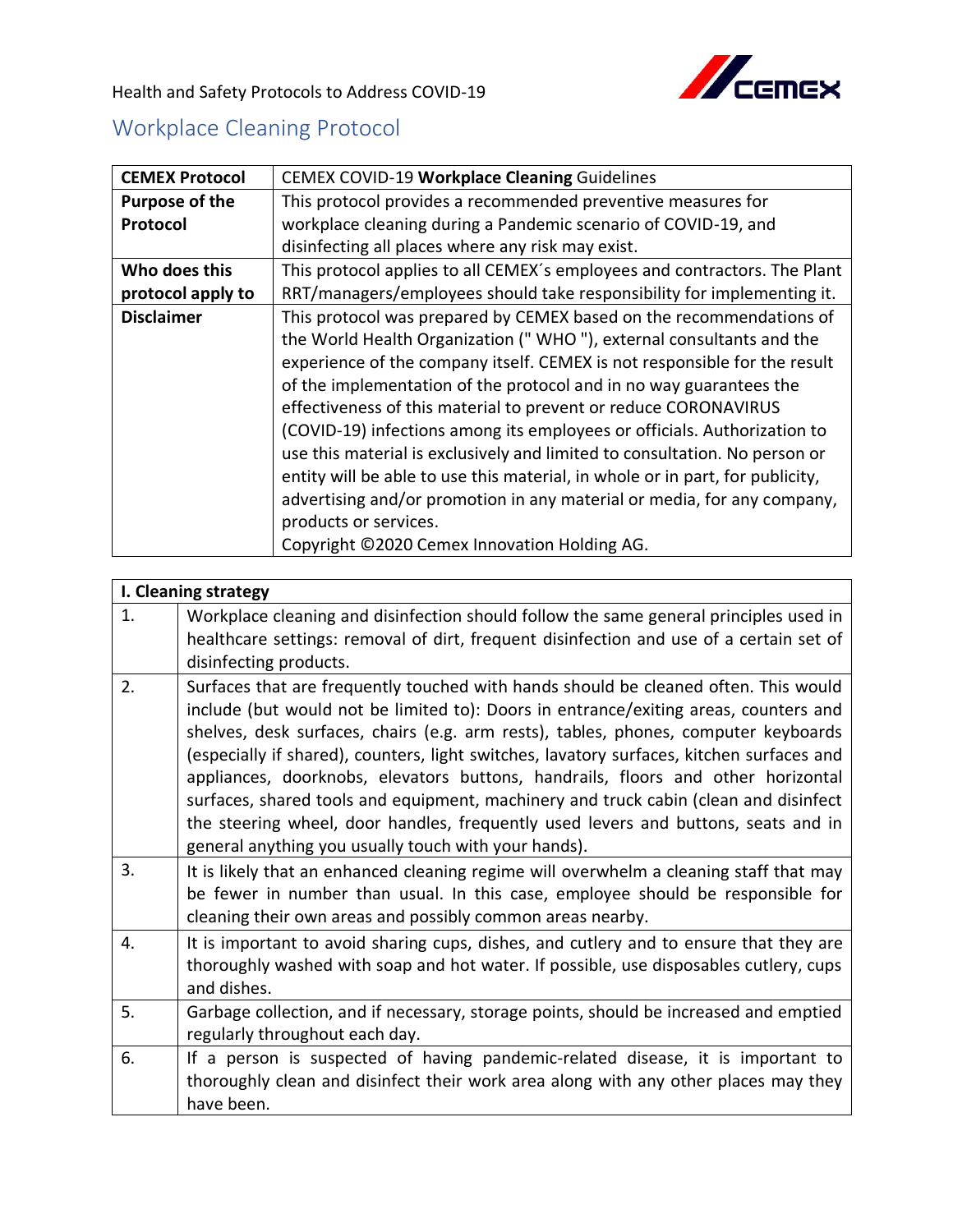

Health and Safety Protocols to Address COVID-19

## Workplace Cleaning Protocol

| <b>CEMEX Protocol</b> | CEMEX COVID-19 Workplace Cleaning Guidelines                                                                                                                                                                                                                                                                                                                                                                                                                                                                                                                                                                                                                                                                                                                    |
|-----------------------|-----------------------------------------------------------------------------------------------------------------------------------------------------------------------------------------------------------------------------------------------------------------------------------------------------------------------------------------------------------------------------------------------------------------------------------------------------------------------------------------------------------------------------------------------------------------------------------------------------------------------------------------------------------------------------------------------------------------------------------------------------------------|
| Purpose of the        | This protocol provides a recommended preventive measures for                                                                                                                                                                                                                                                                                                                                                                                                                                                                                                                                                                                                                                                                                                    |
| Protocol              | workplace cleaning during a Pandemic scenario of COVID-19, and                                                                                                                                                                                                                                                                                                                                                                                                                                                                                                                                                                                                                                                                                                  |
|                       | disinfecting all places where any risk may exist.                                                                                                                                                                                                                                                                                                                                                                                                                                                                                                                                                                                                                                                                                                               |
| Who does this         | This protocol applies to all CEMEX's employees and contractors. The Plant                                                                                                                                                                                                                                                                                                                                                                                                                                                                                                                                                                                                                                                                                       |
| protocol apply to     | RRT/managers/employees should take responsibility for implementing it.                                                                                                                                                                                                                                                                                                                                                                                                                                                                                                                                                                                                                                                                                          |
| <b>Disclaimer</b>     | This protocol was prepared by CEMEX based on the recommendations of<br>the World Health Organization ("WHO"), external consultants and the<br>experience of the company itself. CEMEX is not responsible for the result<br>of the implementation of the protocol and in no way guarantees the<br>effectiveness of this material to prevent or reduce CORONAVIRUS<br>(COVID-19) infections among its employees or officials. Authorization to<br>use this material is exclusively and limited to consultation. No person or<br>entity will be able to use this material, in whole or in part, for publicity,<br>advertising and/or promotion in any material or media, for any company,<br>products or services.<br>Copyright ©2020 Cemex Innovation Holding AG. |

|    | I. Cleaning strategy                                                                                                                                                                                                                                                                                                                                                                                                                                                                                                                                                                                                                                                                      |
|----|-------------------------------------------------------------------------------------------------------------------------------------------------------------------------------------------------------------------------------------------------------------------------------------------------------------------------------------------------------------------------------------------------------------------------------------------------------------------------------------------------------------------------------------------------------------------------------------------------------------------------------------------------------------------------------------------|
| 1. | Workplace cleaning and disinfection should follow the same general principles used in<br>healthcare settings: removal of dirt, frequent disinfection and use of a certain set of<br>disinfecting products.                                                                                                                                                                                                                                                                                                                                                                                                                                                                                |
| 2. | Surfaces that are frequently touched with hands should be cleaned often. This would<br>include (but would not be limited to): Doors in entrance/exiting areas, counters and<br>shelves, desk surfaces, chairs (e.g. arm rests), tables, phones, computer keyboards<br>(especially if shared), counters, light switches, lavatory surfaces, kitchen surfaces and<br>appliances, doorknobs, elevators buttons, handrails, floors and other horizontal<br>surfaces, shared tools and equipment, machinery and truck cabin (clean and disinfect<br>the steering wheel, door handles, frequently used levers and buttons, seats and in<br>general anything you usually touch with your hands). |
| 3. | It is likely that an enhanced cleaning regime will overwhelm a cleaning staff that may<br>be fewer in number than usual. In this case, employee should be responsible for<br>cleaning their own areas and possibly common areas nearby.                                                                                                                                                                                                                                                                                                                                                                                                                                                   |
| 4. | It is important to avoid sharing cups, dishes, and cutlery and to ensure that they are<br>thoroughly washed with soap and hot water. If possible, use disposables cutlery, cups<br>and dishes.                                                                                                                                                                                                                                                                                                                                                                                                                                                                                            |
| 5. | Garbage collection, and if necessary, storage points, should be increased and emptied<br>regularly throughout each day.                                                                                                                                                                                                                                                                                                                                                                                                                                                                                                                                                                   |
| 6. | If a person is suspected of having pandemic-related disease, it is important to<br>thoroughly clean and disinfect their work area along with any other places may they<br>have been.                                                                                                                                                                                                                                                                                                                                                                                                                                                                                                      |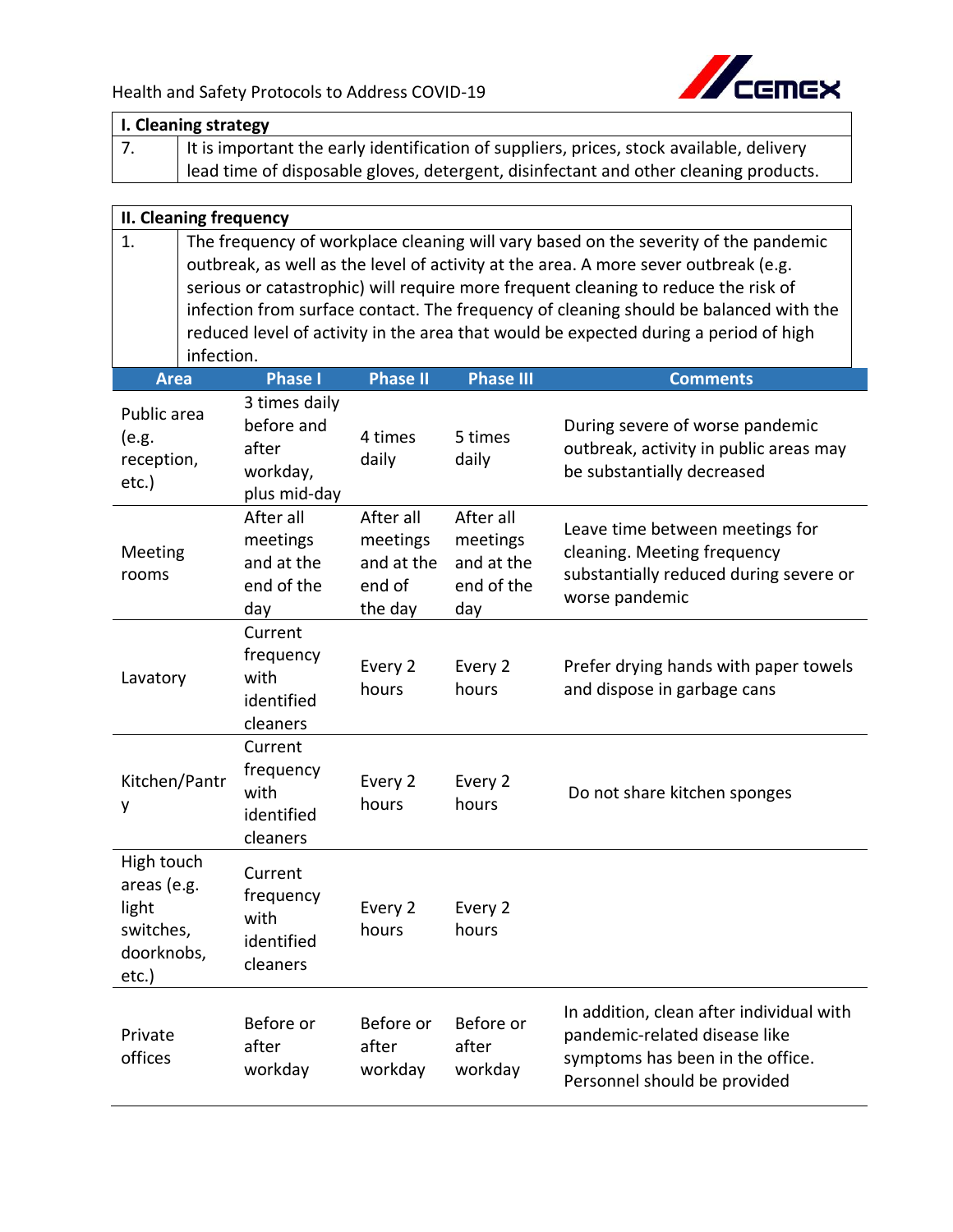

|                                                                           | I. Cleaning strategy                                                                                                                                                       |                                                          |                                                          |                                                                                                                                                                             |  |  |
|---------------------------------------------------------------------------|----------------------------------------------------------------------------------------------------------------------------------------------------------------------------|----------------------------------------------------------|----------------------------------------------------------|-----------------------------------------------------------------------------------------------------------------------------------------------------------------------------|--|--|
| 7.                                                                        |                                                                                                                                                                            |                                                          |                                                          | It is important the early identification of suppliers, prices, stock available, delivery                                                                                    |  |  |
|                                                                           | lead time of disposable gloves, detergent, disinfectant and other cleaning products.                                                                                       |                                                          |                                                          |                                                                                                                                                                             |  |  |
|                                                                           |                                                                                                                                                                            |                                                          |                                                          |                                                                                                                                                                             |  |  |
| <b>II. Cleaning frequency</b>                                             |                                                                                                                                                                            |                                                          |                                                          |                                                                                                                                                                             |  |  |
| 1.                                                                        | The frequency of workplace cleaning will vary based on the severity of the pandemic<br>outbreak, as well as the level of activity at the area. A more sever outbreak (e.g. |                                                          |                                                          |                                                                                                                                                                             |  |  |
|                                                                           |                                                                                                                                                                            |                                                          |                                                          | serious or catastrophic) will require more frequent cleaning to reduce the risk of<br>infection from surface contact. The frequency of cleaning should be balanced with the |  |  |
|                                                                           |                                                                                                                                                                            |                                                          |                                                          | reduced level of activity in the area that would be expected during a period of high                                                                                        |  |  |
| infection.                                                                |                                                                                                                                                                            |                                                          |                                                          |                                                                                                                                                                             |  |  |
| <b>Area</b>                                                               | <b>Phase I</b>                                                                                                                                                             | <b>Phase II</b>                                          | <b>Phase III</b>                                         | <b>Comments</b>                                                                                                                                                             |  |  |
| Public area<br>(e.g.<br>reception,<br>etc.)                               | 3 times daily<br>before and<br>after<br>workday,<br>plus mid-day                                                                                                           | 4 times<br>daily                                         | 5 times<br>daily                                         | During severe of worse pandemic<br>outbreak, activity in public areas may<br>be substantially decreased                                                                     |  |  |
| Meeting<br>rooms                                                          | After all<br>meetings<br>and at the<br>end of the<br>day                                                                                                                   | After all<br>meetings<br>and at the<br>end of<br>the day | After all<br>meetings<br>and at the<br>end of the<br>day | Leave time between meetings for<br>cleaning. Meeting frequency<br>substantially reduced during severe or<br>worse pandemic                                                  |  |  |
| Lavatory                                                                  | Current<br>frequency<br>with<br>identified<br>cleaners                                                                                                                     | Every 2<br>hours                                         | Every 2<br>hours                                         | Prefer drying hands with paper towels<br>and dispose in garbage cans                                                                                                        |  |  |
| Kitchen/Pantr<br>у                                                        | Current<br>frequency<br>with<br>identified<br>cleaners                                                                                                                     | Every 2<br>hours                                         | Every 2<br>hours                                         | Do not share kitchen sponges                                                                                                                                                |  |  |
| High touch<br>areas (e.g.<br>light<br>switches,<br>doorknobs,<br>$etc.$ ) | Current<br>frequency<br>with<br>identified<br>cleaners                                                                                                                     | Every 2<br>hours                                         | Every 2<br>hours                                         |                                                                                                                                                                             |  |  |
| Private<br>offices                                                        | Before or<br>after<br>workday                                                                                                                                              | Before or<br>after<br>workday                            | Before or<br>after<br>workday                            | In addition, clean after individual with<br>pandemic-related disease like<br>symptoms has been in the office.<br>Personnel should be provided                               |  |  |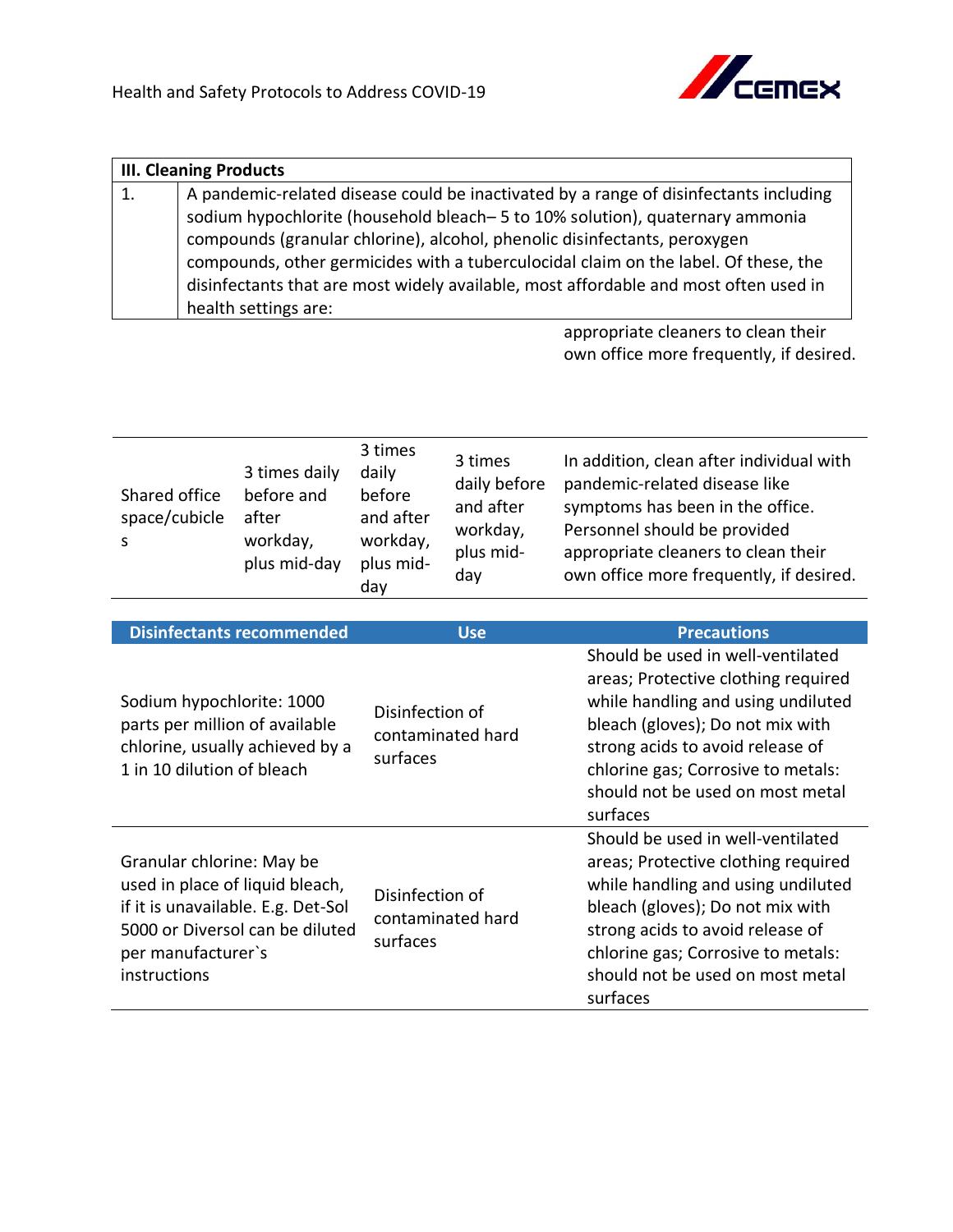

|    | <b>III. Cleaning Products</b>                                                         |  |  |
|----|---------------------------------------------------------------------------------------|--|--|
| 1. | A pandemic-related disease could be inactivated by a range of disinfectants including |  |  |
|    | sodium hypochlorite (household bleach-5 to 10% solution), quaternary ammonia          |  |  |
|    | compounds (granular chlorine), alcohol, phenolic disinfectants, peroxygen             |  |  |
|    | compounds, other germicides with a tuberculocidal claim on the label. Of these, the   |  |  |
|    | disinfectants that are most widely available, most affordable and most often used in  |  |  |
|    | health settings are:                                                                  |  |  |

appropriate cleaners to clean their own office more frequently, if desired.

| Shared office<br>space/cubicle | 3 times daily<br>before and<br>after<br>workday,<br>plus mid-day | 3 times<br>daily<br>before<br>and after<br>workday,<br>plus mid-<br>day | 3 times<br>daily before<br>and after<br>workday,<br>plus mid-<br>dav | In addition, clean after individual with<br>pandemic-related disease like<br>symptoms has been in the office.<br>Personnel should be provided<br>appropriate cleaners to clean their<br>own office more frequently, if desired. |
|--------------------------------|------------------------------------------------------------------|-------------------------------------------------------------------------|----------------------------------------------------------------------|---------------------------------------------------------------------------------------------------------------------------------------------------------------------------------------------------------------------------------|
|--------------------------------|------------------------------------------------------------------|-------------------------------------------------------------------------|----------------------------------------------------------------------|---------------------------------------------------------------------------------------------------------------------------------------------------------------------------------------------------------------------------------|

| <b>Disinfectants recommended</b>                                                                                                                                            | <b>Use</b>                                       | <b>Precautions</b>                                                                                                                                                                                                                                                           |
|-----------------------------------------------------------------------------------------------------------------------------------------------------------------------------|--------------------------------------------------|------------------------------------------------------------------------------------------------------------------------------------------------------------------------------------------------------------------------------------------------------------------------------|
| Sodium hypochlorite: 1000<br>parts per million of available<br>chlorine, usually achieved by a<br>1 in 10 dilution of bleach                                                | Disinfection of<br>contaminated hard<br>surfaces | Should be used in well-ventilated<br>areas; Protective clothing required<br>while handling and using undiluted<br>bleach (gloves); Do not mix with<br>strong acids to avoid release of<br>chlorine gas; Corrosive to metals:<br>should not be used on most metal<br>surfaces |
| Granular chlorine: May be<br>used in place of liquid bleach,<br>if it is unavailable. E.g. Det-Sol<br>5000 or Diversol can be diluted<br>per manufacturer's<br>instructions | Disinfection of<br>contaminated hard<br>surfaces | Should be used in well-ventilated<br>areas; Protective clothing required<br>while handling and using undiluted<br>bleach (gloves); Do not mix with<br>strong acids to avoid release of<br>chlorine gas; Corrosive to metals:<br>should not be used on most metal<br>surfaces |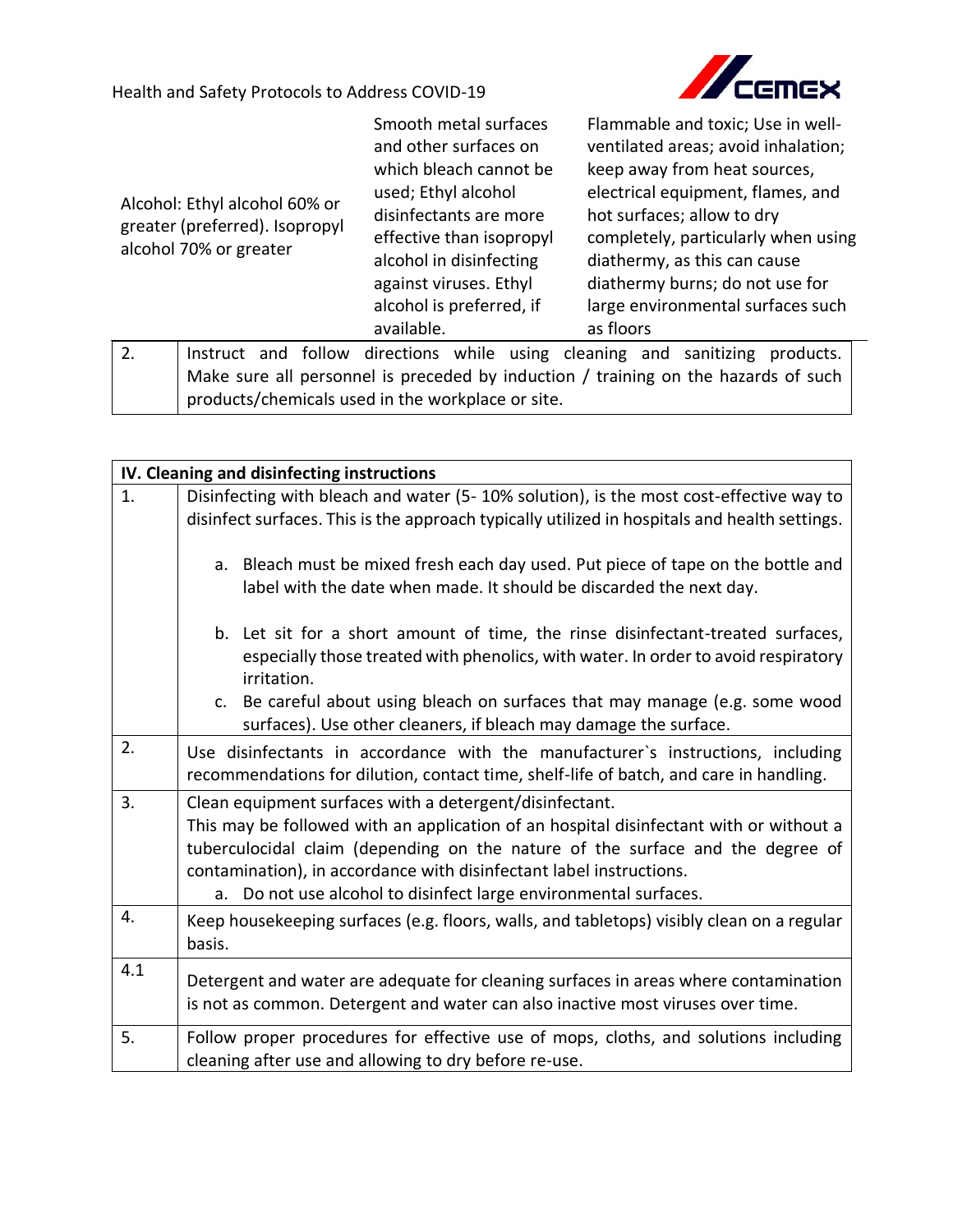

| Alcohol: Ethyl alcohol 60% or<br>greater (preferred). Isopropyl<br>alcohol 70% or greater<br>2. |  | Smooth metal surfaces<br>and other surfaces on<br>which bleach cannot be<br>used; Ethyl alcohol<br>disinfectants are more<br>effective than isopropyl<br>alcohol in disinfecting<br>against viruses. Ethyl<br>alcohol is preferred, if<br>available. |                                                                                    | Flammable and toxic; Use in well-<br>ventilated areas; avoid inhalation;<br>keep away from heat sources,<br>electrical equipment, flames, and<br>hot surfaces; allow to dry<br>completely, particularly when using<br>diathermy, as this can cause<br>diathermy burns; do not use for<br>large environmental surfaces such<br>as floors<br>Instruct and follow directions while using cleaning and sanitizing<br>products. |  |  |  |  |
|-------------------------------------------------------------------------------------------------|--|------------------------------------------------------------------------------------------------------------------------------------------------------------------------------------------------------------------------------------------------------|------------------------------------------------------------------------------------|----------------------------------------------------------------------------------------------------------------------------------------------------------------------------------------------------------------------------------------------------------------------------------------------------------------------------------------------------------------------------------------------------------------------------|--|--|--|--|
|                                                                                                 |  |                                                                                                                                                                                                                                                      |                                                                                    |                                                                                                                                                                                                                                                                                                                                                                                                                            |  |  |  |  |
|                                                                                                 |  |                                                                                                                                                                                                                                                      | Make sure all personnel is preceded by induction / training on the hazards of such |                                                                                                                                                                                                                                                                                                                                                                                                                            |  |  |  |  |
|                                                                                                 |  |                                                                                                                                                                                                                                                      | products/chemicals used in the workplace or site.                                  |                                                                                                                                                                                                                                                                                                                                                                                                                            |  |  |  |  |

|     | IV. Cleaning and disinfecting instructions                                                                                                                                                                                                                                                                                                                                     |
|-----|--------------------------------------------------------------------------------------------------------------------------------------------------------------------------------------------------------------------------------------------------------------------------------------------------------------------------------------------------------------------------------|
| 1.  | Disinfecting with bleach and water (5-10% solution), is the most cost-effective way to<br>disinfect surfaces. This is the approach typically utilized in hospitals and health settings.                                                                                                                                                                                        |
|     | a. Bleach must be mixed fresh each day used. Put piece of tape on the bottle and<br>label with the date when made. It should be discarded the next day.                                                                                                                                                                                                                        |
|     | b. Let sit for a short amount of time, the rinse disinfectant-treated surfaces,<br>especially those treated with phenolics, with water. In order to avoid respiratory<br>irritation.                                                                                                                                                                                           |
|     | c. Be careful about using bleach on surfaces that may manage (e.g. some wood<br>surfaces). Use other cleaners, if bleach may damage the surface.                                                                                                                                                                                                                               |
| 2.  | Use disinfectants in accordance with the manufacturer's instructions, including<br>recommendations for dilution, contact time, shelf-life of batch, and care in handling.                                                                                                                                                                                                      |
| 3.  | Clean equipment surfaces with a detergent/disinfectant.<br>This may be followed with an application of an hospital disinfectant with or without a<br>tuberculocidal claim (depending on the nature of the surface and the degree of<br>contamination), in accordance with disinfectant label instructions.<br>a. Do not use alcohol to disinfect large environmental surfaces. |
| 4.  | Keep housekeeping surfaces (e.g. floors, walls, and tabletops) visibly clean on a regular<br>basis.                                                                                                                                                                                                                                                                            |
| 4.1 | Detergent and water are adequate for cleaning surfaces in areas where contamination<br>is not as common. Detergent and water can also inactive most viruses over time.                                                                                                                                                                                                         |
| 5.  | Follow proper procedures for effective use of mops, cloths, and solutions including<br>cleaning after use and allowing to dry before re-use.                                                                                                                                                                                                                                   |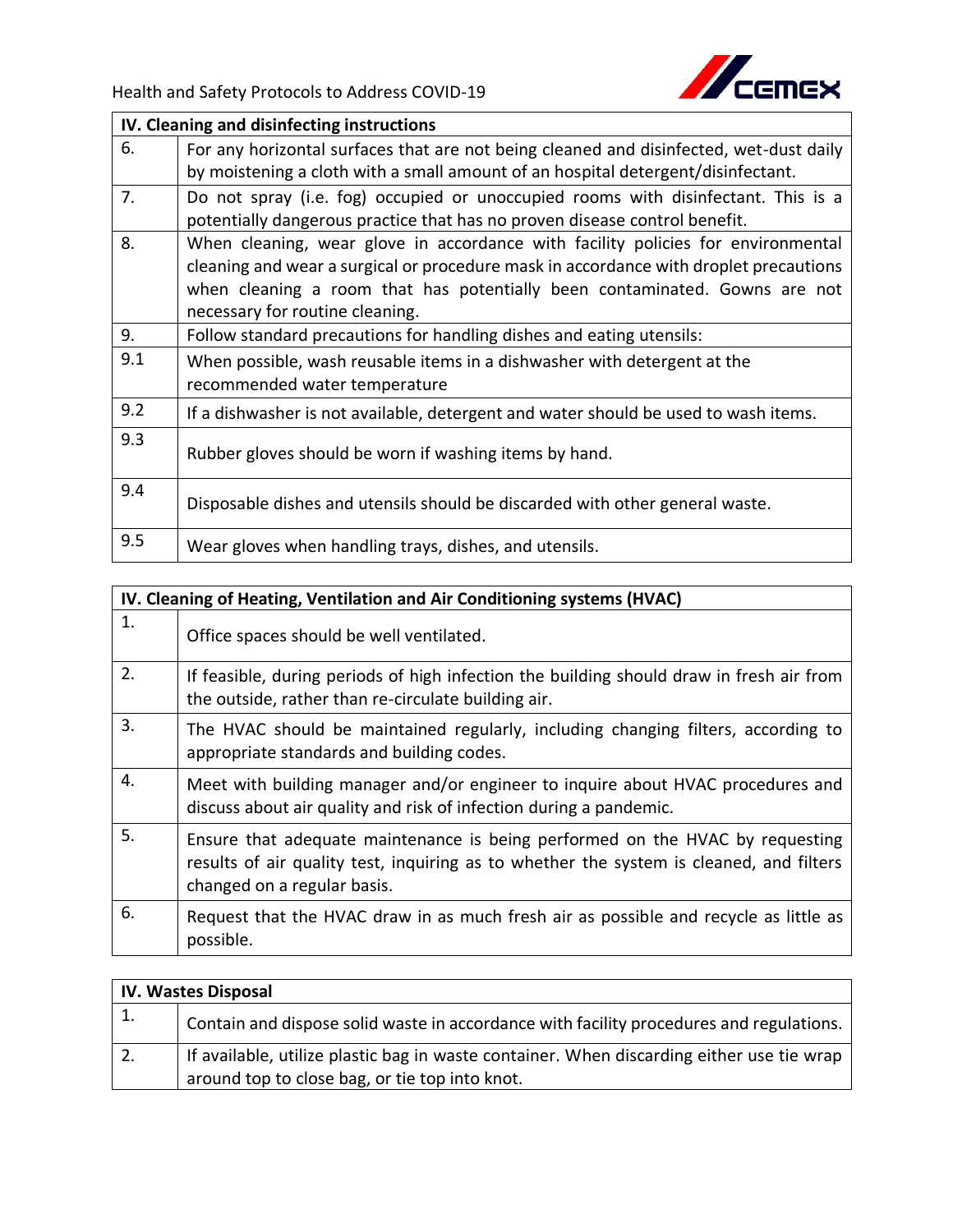

|     | IV. Cleaning and disinfecting instructions                                                                                                                                                                                                                                                 |
|-----|--------------------------------------------------------------------------------------------------------------------------------------------------------------------------------------------------------------------------------------------------------------------------------------------|
| 6.  | For any horizontal surfaces that are not being cleaned and disinfected, wet-dust daily<br>by moistening a cloth with a small amount of an hospital detergent/disinfectant.                                                                                                                 |
| 7.  | Do not spray (i.e. fog) occupied or unoccupied rooms with disinfectant. This is a<br>potentially dangerous practice that has no proven disease control benefit.                                                                                                                            |
| 8.  | When cleaning, wear glove in accordance with facility policies for environmental<br>cleaning and wear a surgical or procedure mask in accordance with droplet precautions<br>when cleaning a room that has potentially been contaminated. Gowns are not<br>necessary for routine cleaning. |
| 9.  | Follow standard precautions for handling dishes and eating utensils:                                                                                                                                                                                                                       |
| 9.1 | When possible, wash reusable items in a dishwasher with detergent at the<br>recommended water temperature                                                                                                                                                                                  |
| 9.2 | If a dishwasher is not available, detergent and water should be used to wash items.                                                                                                                                                                                                        |
| 9.3 | Rubber gloves should be worn if washing items by hand.                                                                                                                                                                                                                                     |
| 9.4 | Disposable dishes and utensils should be discarded with other general waste.                                                                                                                                                                                                               |
| 9.5 | Wear gloves when handling trays, dishes, and utensils.                                                                                                                                                                                                                                     |

|    | IV. Cleaning of Heating, Ventilation and Air Conditioning systems (HVAC)                                                                                                                                |
|----|---------------------------------------------------------------------------------------------------------------------------------------------------------------------------------------------------------|
| 1. | Office spaces should be well ventilated.                                                                                                                                                                |
| 2. | If feasible, during periods of high infection the building should draw in fresh air from<br>the outside, rather than re-circulate building air.                                                         |
| 3. | The HVAC should be maintained regularly, including changing filters, according to<br>appropriate standards and building codes.                                                                          |
| 4. | Meet with building manager and/or engineer to inquire about HVAC procedures and<br>discuss about air quality and risk of infection during a pandemic.                                                   |
| 5. | Ensure that adequate maintenance is being performed on the HVAC by requesting<br>results of air quality test, inquiring as to whether the system is cleaned, and filters<br>changed on a regular basis. |
| 6. | Request that the HVAC draw in as much fresh air as possible and recycle as little as<br>possible.                                                                                                       |

| <b>IV. Wastes Disposal</b> |                                                                                           |  |
|----------------------------|-------------------------------------------------------------------------------------------|--|
| 1.                         | Contain and dispose solid waste in accordance with facility procedures and regulations.   |  |
| 2.                         | If available, utilize plastic bag in waste container. When discarding either use tie wrap |  |
|                            | around top to close bag, or tie top into knot.                                            |  |